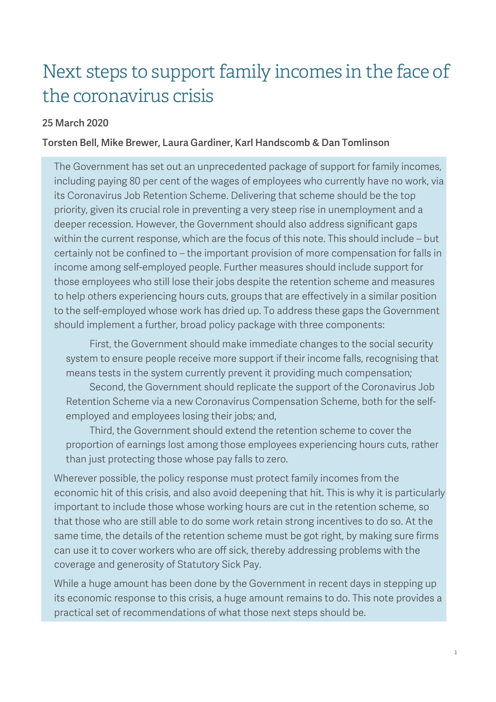# Next steps to support family incomes in the face of the coronavirus crisis

#### 25 March 2020

#### Torsten Bell, Mike Brewer, Laura Gardiner, Karl Handscomb & Dan Tomlinson

The Government has set out an unprecedented package of support for family incomes, including paying 80 per cent of the wages of employees who currently have no work, via its Coronavirus Job Retention Scheme. Delivering that scheme should be the top priority, given its crucial role in preventing a very steep rise in unemployment and a deeper recession. However, the Government should also address significant gaps within the current response, which are the focus of this note. This should include – but certainly not be confined to – the important provision of more compensation for falls in income among self-employed people. Further measures should include support for those employees who still lose their jobs despite the retention scheme and measures to help others experiencing hours cuts, groups that are effectively in a similar position to the self-employed whose work has dried up. To address these gaps the Government should implement a further, broad policy package with three components:

 First, the Government should make immediate changes to the social security system to ensure people receive more support if their income falls, recognising that means tests in the system currently prevent it providing much compensation;

 Second, the Government should replicate the support of the Coronavirus Job Retention Scheme via a new Coronavirus Compensation Scheme, both for the selfemployed and employees losing their jobs; and,

 Third, the Government should extend the retention scheme to cover the proportion of earnings lost among those employees experiencing hours cuts, rather than just protecting those whose pay falls to zero.

Wherever possible, the policy response must protect family incomes from the economic hit of this crisis, and also avoid deepening that hit. This is why it is particularly important to include those whose working hours are cut in the retention scheme, so that those who are still able to do some work retain strong incentives to do so. At the same time, the details of the retention scheme must be got right, by making sure firms can use it to cover workers who are off sick, thereby addressing problems with the coverage and generosity of Statutory Sick Pay.

While a huge amount has been done by the Government in recent days in stepping up its economic response to this crisis, a huge amount remains to do. This note provides a practical set of recommendations of what those next steps should be.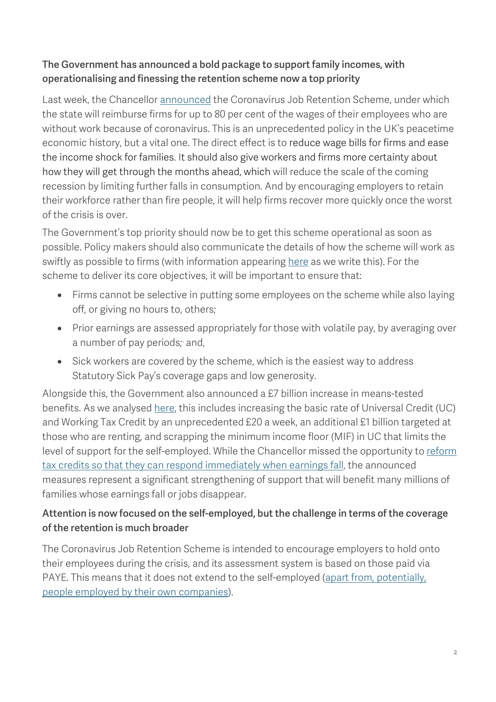# The Government has announced a bold package to support family incomes, with operationalising and finessing the retention scheme now a top priority

Last week, the Chancellor [announced](https://www.gov.uk/government/speeches/the-chancellor-rishi-sunak-provides-an-updated-statement-on-coronavirus) the Coronavirus Job Retention Scheme, under which the state will reimburse firms for up to 80 per cent of the wages of their employees who are without work because of coronavirus. This is an unprecedented policy in the UK's peacetime economic history, but a vital one. The direct effect is to reduce wage bills for firms and ease the income shock for families. It should also give workers and firms more certainty about how they will get through the months ahead, which will reduce the scale of the coming recession by limiting further falls in consumption. And by encouraging employers to retain their workforce rather than fire people, it will help firms recover more quickly once the worst of the crisis is over.

The Government's top priority should now be to get this scheme operational as soon as possible. Policy makers should also communicate the details of how the scheme will work as swiftly as possible to firms (with information appearing [here](https://www.businesssupport.gov.uk/coronavirus-business-support/) as we write this). For the scheme to deliver its core objectives, it will be important to ensure that:

- Firms cannot be selective in putting some employees on the scheme while also laying off, or giving no hours to, others;
- Prior earnings are assessed appropriately for those with volatile pay, by averaging over a number of pay periods; [i](#page-11-0) and,
- Sick workers are covered by the scheme, which is the easiest way to address Statutory Sick Pay's coverage gaps and low generosity.

Alongside this, the Government also announced a £7 billion increase in means-tested benefits. As we analysed [here,](https://www.resolutionfoundation.org/comment/key-take-aways-chancellors-package-of-measures-to-support-workers-coronavirus-crisis/) this includes increasing the basic rate of Universal Credit (UC) and Working Tax Credit by an unprecedented £20 a week, an additional £1 billion targeted at those who are renting, and scrapping the minimum income floor (MIF) in UC that limits the level of support for the self-employed. While the Chancellor missed the opportunity to reform [tax credits so that they can respond immediately when earnings fall,](https://www.resolutionfoundation.org/publications/doing-what-it-takes/) the announced measures represent a significant strengthening of support that will benefit many millions of families whose earnings fall or jobs disappear.

# Attention is now focused on the self-employed, but the challenge in terms of the coverage of the retention is much broader

The Coronavirus Job Retention Scheme is intended to encourage employers to hold onto their employees during the crisis, and its assessment system is based on those paid via PAYE. This means that it does not extend to the self-employed [\(apart from,](https://www.ifs.org.uk/publications/14764) potentially, people employed by [their own companies\)](https://www.ifs.org.uk/publications/14764).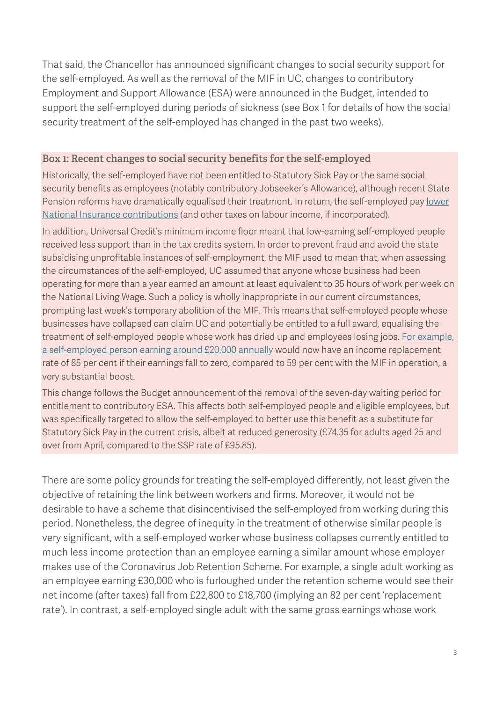That said, the Chancellor has announced significant changes to social security support for the self-employed. As well as the removal of the MIF in UC, changes to contributory Employment and Support Allowance (ESA) were announced in the Budget, intended to support the self-employed during periods of sickness (see [Box 1](#page-2-0) for details of how the social security treatment of the self-employed has changed in the past two weeks).

#### <span id="page-2-0"></span>**Box 1: Recent changes to social security benefits for the self-employed**

Historically, the self-employed have not been entitled to Statutory Sick Pay or the same social security benefits as employees (notably contributory Jobseeker's Allowance), although recent State Pension reforms have dramatically equalised their treatment. In return, the self-employed pay lower [National Insurance contributions](https://www.resolutionfoundation.org/publications/a-tough-gig-the-nature-of-self-employment-in-21st-century-britain-and-policy-implications/) (and other taxes on labour income, if incorporated).

In addition, Universal Credit's minimum income floor meant that low-earning self-employed people received less support than in the tax credits system. In order to prevent fraud and avoid the state subsidising unprofitable instances of self-employment, the MIF used to mean that, when assessing the circumstances of the self-employed, UC assumed that anyone whose business had been operating for more than a year earned an amount at least equivalent to 35 hours of work per week on the National Living Wage. Such a policy is wholly inappropriate in our current circumstances, prompting last week's temporary abolition of the MIF. This means that self-employed people whose businesses have collapsed can claim UC and potentially be entitled to a full award, equalising the treatment of self-employed people whose work has dried up and employees losing jobs. [For example,](https://www.resolutionfoundation.org/comment/key-take-aways-chancellors-package-of-measures-to-support-workers-coronavirus-crisis/)  a [self-employed person earning around £20,000 annually](https://www.resolutionfoundation.org/comment/key-take-aways-chancellors-package-of-measures-to-support-workers-coronavirus-crisis/) would now have an income replacement rate of 85 per cent if their earnings fall to zero, compared to 59 per cent with the MIF in operation, a very substantial boost.

This change follows the Budget announcement of the removal of the seven-day waiting period for entitlement to contributory ESA. This affects both self-employed people and eligible employees, but was specifically targeted to allow the self-employed to better use this benefit as a substitute for Statutory Sick Pay in the current crisis, albeit at reduced generosity (£74.35 for adults aged 25 and over from April, compared to the SSP rate of £95.85).

There are some policy grounds for treating the self-employed differently, not least given the objective of retaining the link between workers and firms. Moreover, it would not be desirable to have a scheme that disincentivised the self-employed from working during this period. Nonetheless, the degree of inequity in the treatment of otherwise similar people is very significant, with a self-employed worker whose business collapses currently entitled to much less income protection than an employee earning a similar amount whose employer makes use of the Coronavirus Job Retention Scheme. For example, a single adult working as an employee earning £30,000 who is furloughed under the retention scheme would see their net income (after taxes) fall from £22,800 to £18,700 (implying an 82 per cent 'replacement rate'). In contrast, a self-employed single adult with the same gross earnings whose work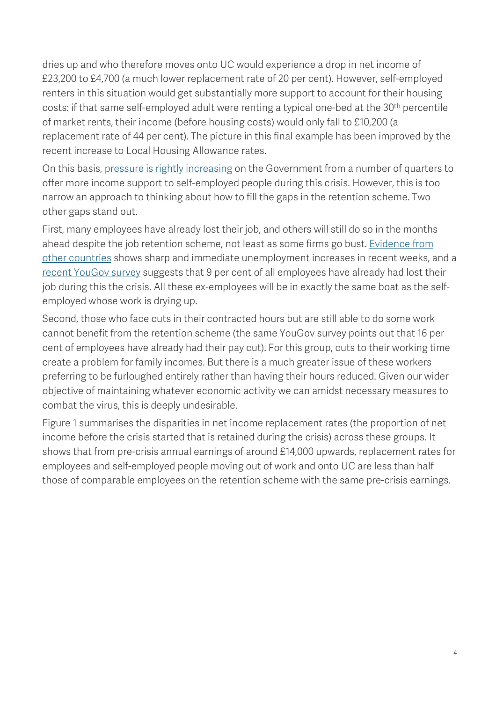dries up and who therefore moves onto UC would experience a drop in net income of £23,200 to £4,700 (a much lower replacement rate of 20 per cent). However, self-employed renters in this situation would get substantially more support to account for their housing costs: if that same self-employed adult were renting a typical one-bed at the 30<sup>th</sup> percentile of market rents, their income (before housing costs) would only fall to £10,200 (a replacement rate of 44 per cent). The picture in this final example has been improved by the recent increase to Local Housing Allowance rates.

On this basis, [pressure is](https://www.theguardian.com/business/2020/mar/23/coronavirus-mervyn-king-presses-rishi-sunak-over-pay-for-self-employed) rightly increasing on the Government from a number of quarters to offer more income support to self-employed people during this crisis. However, this is too narrow an approach to thinking about how to fill the gaps in the retention scheme. Two other gaps stand out.

First, many employees have already lost their job, and others will still do so in the months ahead despite the job retention scheme, not least as some firms go bust. [Evidence from](https://twitter.com/marthagimbel/status/1240619843348504576?s=20)  [other countries](https://twitter.com/marthagimbel/status/1240619843348504576?s=20) shows sharp and immediate unemployment increases in recent weeks, and a [recent YouGov](https://yougov.co.uk/topics/politics/articles-reports/2020/03/24/how-covid-19-affecting-british-opinions-jobs-and-w) survey suggests that 9 per cent of all employees have already had lost their job during this the crisis. All these ex-employees will be in exactly the same boat as the selfemployed whose work is drying up.

Second, those who face cuts in their contracted hours but are still able to do some work cannot benefit from the retention scheme (the same YouGov survey points out that 16 per cent of employees have already had their pay cut). For this group, cuts to their working time create a problem for family incomes. But there is a much greater issue of these workers preferring to be furloughed entirely rather than having their hours reduced. Given our wider objective of maintaining whatever economic activity we can amidst necessary measures to combat the virus, this is deeply undesirable.

<span id="page-3-0"></span>[Figure 1](#page-3-0) summarises the disparities in net income replacement rates (the proportion of net income before the crisis started that is retained during the crisis) across these groups. It shows that from pre-crisis annual earnings of around £14,000 upwards, replacement rates for employees and self-employed people moving out of work and onto UC are less than half those of comparable employees on the retention scheme with the same pre-crisis earnings.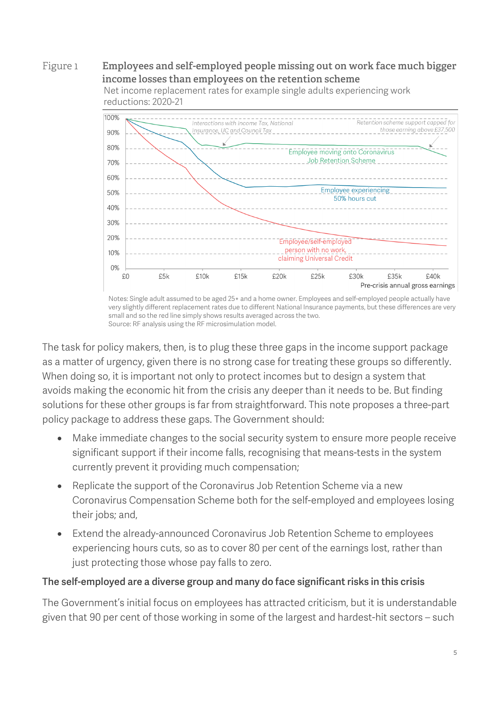## Figure 1 **Employees and self-employed people missing out on work face much bigger income losses than employees on the retention scheme**



Net income replacement rates for example single adults experiencing work reductions: 2020-21

Notes: Single adult assumed to be aged 25+ and a home owner. Employees and self-employed people actually have very slightly different replacement rates due to different National Insurance payments, but these differences are very small and so the red line simply shows results averaged across the two. Source: RF analysis using the RF microsimulation model.

The task for policy makers, then, is to plug these three gaps in the income support package as a matter of urgency, given there is no strong case for treating these groups so differently. When doing so, it is important not only to protect incomes but to design a system that avoids making the economic hit from the crisis any deeper than it needs to be. But finding solutions for these other groups is far from straightforward. This note proposes a three-part policy package to address these gaps. The Government should:

- Make immediate changes to the social security system to ensure more people receive significant support if their income falls, recognising that means-tests in the system currently prevent it providing much compensation;
- Replicate the support of the Coronavirus Job Retention Scheme via a new Coronavirus Compensation Scheme both for the self-employed and employees losing their jobs; and,
- Extend the already-announced Coronavirus Job Retention Scheme to employees experiencing hours cuts, so as to cover 80 per cent of the earnings lost, rather than just protecting those whose pay falls to zero.

## The self-employed are a diverse group and many do face significant risks in this crisis

The Government's initial focus on employees has attracted criticism, but it is understandable given that 90 per cent of those working in some of the largest and hardest-hit sectors – such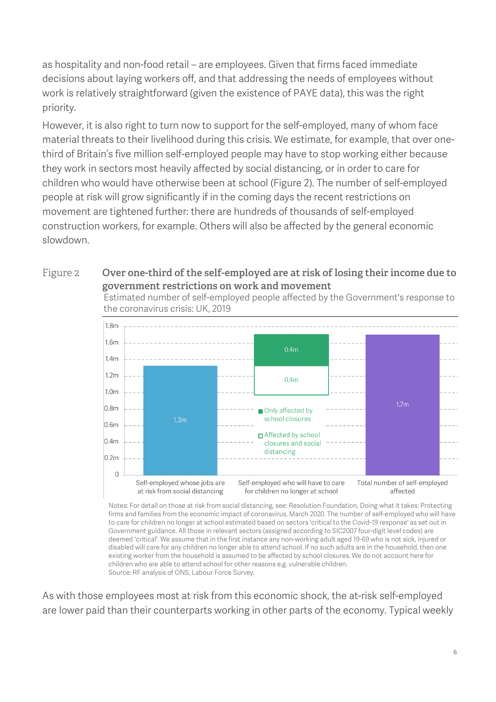as hospitality and non-food retail – are employees. Given that firms faced immediate decisions about laying workers off, and that addressing the needs of employees without work is relatively straightforward (given the existence of PAYE data), this was the right priority.

However, it is also right to turn now to support for the self-employed, many of whom face material threats to their livelihood during this crisis. We estimate, for example, that over onethird of Britain's five million self-employed people may have to stop working either because they work in sectors most heavily affected by social distancing, or in order to care for children who would have otherwise been at school [\(Figure 2\)](#page-5-0). The number of self-employed people at risk will grow significantly if in the coming days the recent restrictions on movement are tightened further: there are hundreds of thousands of self-employed construction workers, for example. Others will also be affected by the general economic slowdown.

#### <span id="page-5-0"></span>Figure 2 **Over one-third of the self-employed are at risk of losing their income due to government restrictions on work and movement**

Estimated number of self-employed people affected by the Government's response to the coronavirus crisis: UK, 2019



Notes: For detail on those at risk from social distancing, see: Resolution Foundation, Doing what it takes: Protecting firms and families from the economic impact of coronavirus, March 2020. The number of self-employed who will have to care for children no longer at school estimated based on sectors 'critical to the Covid-19 response' as set out in Government guidance. All those in relevant sectors (assigned according to SIC2007 four-digit level codes) are deemed 'critical'. We assume that in the first instance any non-working adult aged 19-69 who is not sick, injured or disabled will care for any children no longer able to attend school. If no such adults are in the household, then one existing worker from the household is assumed to be affected by school closures. We do not account here for children who are able to attend school for other reasons e.g. vulnerable children. Source: RF analysis of ONS, Labour Force Survey.

As with those employees most at risk from this economic shock, the at-risk self-employed are lower paid than their counterparts working in other parts of the economy. Typical weekly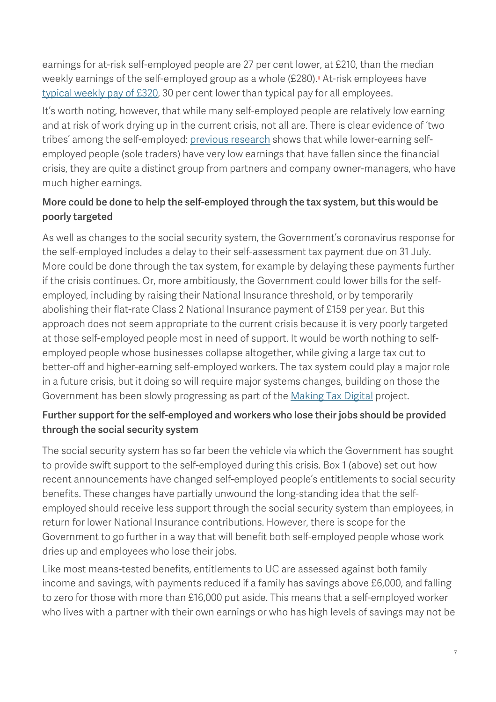earnings for at-risk self-employed people are 27 per cent lower, at £210, than the median weekly earnings of the self-employed group as a whole (£280). At-risk employees have [typical weekly pay of £320,](https://www.resolutionfoundation.org/publications/doing-what-it-takes/) 30 per cent lower than typical pay for all employees.

It's worth noting, however, that while many self-employed people are relatively low earning and at risk of work drying up in the current crisis, not all are. There is clear evidence of 'two tribes' among the self-employed: [previous research](https://www.ifs.org.uk/publications/14241) shows that while lower-earning selfemployed people (sole traders) have very low earnings that have fallen since the financial crisis, they are quite a distinct group from partners and company owner-managers, who have much higher earnings.

# More could be done to help the self-employed through the tax system, but this would be poorly targeted

As well as changes to the social security system, the Government's coronavirus response for the self-employed includes a delay to their self-assessment tax payment due on 31 July. More could be done through the tax system, for example by delaying these payments further if the crisis continues. Or, more ambitiously, the Government could lower bills for the selfemployed, including by raising their National Insurance threshold, or by temporarily abolishing their flat-rate Class 2 National Insurance payment of £159 per year. But this approach does not seem appropriate to the current crisis because it is very poorly targeted at those self-employed people most in need of support. It would be worth nothing to selfemployed people whose businesses collapse altogether, while giving a large tax cut to better-off and higher-earning self-employed workers. The tax system could play a major role in a future crisis, but it doing so will require major systems changes, building on those the Government has been slowly progressing as part of th[e Making Tax Digital](https://www.gov.uk/government/publications/making-tax-digital/overview-of-making-tax-digital) project.

# Further support for the self-employed and workers who lose their jobs should be provided through the social security system

The social security system has so far been the vehicle via which the Government has sought to provide swift support to the self-employed during this crisis. [Box 1](#page-2-0) (above) set out how recent announcements have changed self-employed people's entitlements to social security benefits. These changes have partially unwound the long-standing idea that the selfemployed should receive less support through the social security system than employees, in return for lower National Insurance contributions. However, there is scope for the Government to go further in a way that will benefit both self-employed people whose work dries up and employees who lose their jobs.

Like most means-tested benefits, entitlements to UC are assessed against both family income and savings, with payments reduced if a family has savings above £6,000, and falling to zero for those with more than £16,000 put aside. This means that a self-employed worker who lives with a partner with their own earnings or who has high levels of savings may not be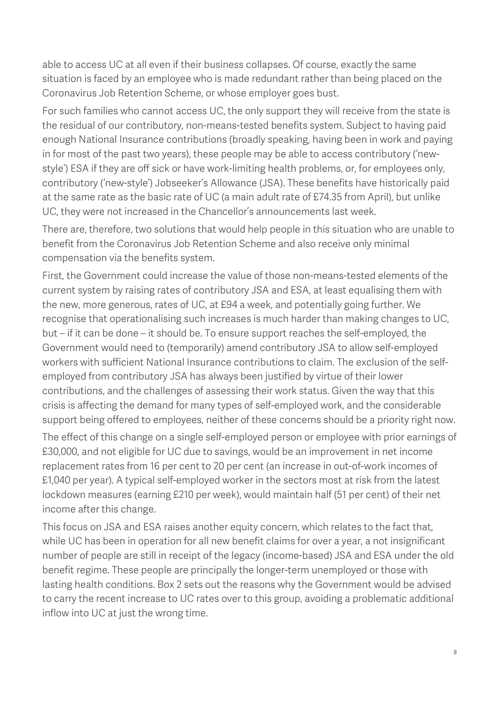able to access UC at all even if their business collapses. Of course, exactly the same situation is faced by an employee who is made redundant rather than being placed on the Coronavirus Job Retention Scheme, or whose employer goes bust.

For such families who cannot access UC, the only support they will receive from the state is the residual of our contributory, non-means-tested benefits system. Subject to having paid enough National Insurance contributions (broadly speaking, having been in work and paying in for most of the past two years), these people may be able to access contributory ('newstyle') ESA if they are off sick or have work-limiting health problems, or, for employees only, contributory ('new-style') Jobseeker's Allowance (JSA). These benefits have historically paid at the same rate as the basic rate of UC (a main adult rate of £74.35 from April), but unlike UC, they were not increased in the Chancellor's announcements last week.

There are, therefore, two solutions that would help people in this situation who are unable to benefit from the Coronavirus Job Retention Scheme and also receive only minimal compensation via the benefits system.

First, the Government could increase the value of those non-means-tested elements of the current system by raising rates of contributory JSA and ESA, at least equalising them with the new, more generous, rates of UC, at £94 a week, and potentially going further. We recognise that operationalising such increases is much harder than making changes to UC, but – if it can be done – it should be. To ensure support reaches the self-employed, the Government would need to (temporarily) amend contributory JSA to allow self-employed workers with sufficient National Insurance contributions to claim. The exclusion of the selfemployed from contributory JSA has always been justified by virtue of their lower contributions, and the challenges of assessing their work status. Given the way that this crisis is affecting the demand for many types of self-employed work, and the considerable support being offered to employees, neither of these concerns should be a priority right now.

The effect of this change on a single self-employed person or employee with prior earnings of £30,000, and not eligible for UC due to savings, would be an improvement in net income replacement rates from 16 per cent to 20 per cent (an increase in out-of-work incomes of £1,040 per year). A typical self-employed worker in the sectors most at risk from the latest lockdown measures (earning £210 per week), would maintain half (51 per cent) of their net income after this change.

This focus on JSA and ESA raises another equity concern, which relates to the fact that, while UC has been in operation for all new benefit claims for over a year, a not insignificant number of people are still in receipt of the legacy (income-based) JSA and ESA under the old benefit regime. These people are principally the longer-term unemployed or those with lasting health conditions. [Box 2](#page-8-0) sets out the reasons why the Government would be advised to carry the recent increase to UC rates over to this group, avoiding a problematic additional inflow into UC at just the wrong time.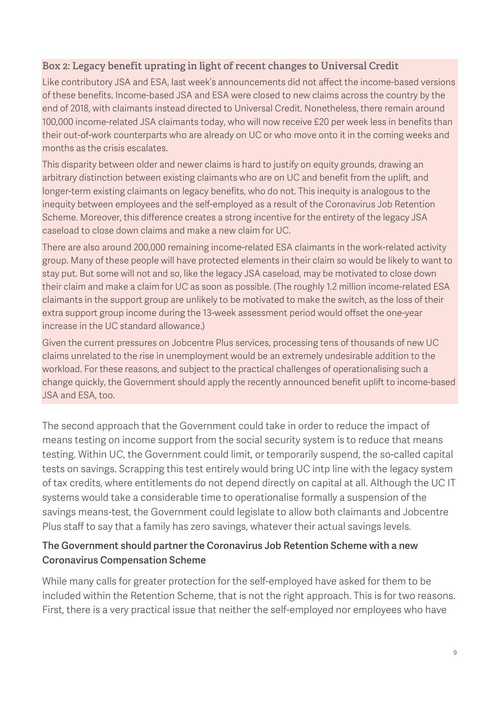## <span id="page-8-0"></span>**Box 2: Legacy benefit uprating in light of recent changes to Universal Credit**

Like contributory JSA and ESA, last week's announcements did not affect the income-based versions of these benefits. Income-based JSA and ESA were closed to new claims across the country by the end of 2018, with claimants instead directed to Universal Credit. Nonetheless, there remain around 100,000 income-related JSA claimants today, who will now receive £20 per week less in benefits than their out-of-work counterparts who are already on UC or who move onto it in the coming weeks and months as the crisis escalates.

This disparity between older and newer claims is hard to justify on equity grounds, drawing an arbitrary distinction between existing claimants who are on UC and benefit from the uplift, and longer-term existing claimants on legacy benefits, who do not. This inequity is analogous to the inequity between employees and the self-employed as a result of the Coronavirus Job Retention Scheme. Moreover, this difference creates a strong incentive for the entirety of the legacy JSA caseload to close down claims and make a new claim for UC.

There are also around 200,000 remaining income-related ESA claimants in the work-related activity group. Many of these people will have protected elements in their claim so would be likely to want to stay put. But some will not and so, like the legacy JSA caseload, may be motivated to close down their claim and make a claim for UC as soon as possible. (The roughly 1.2 million income-related ESA claimants in the support group are unlikely to be motivated to make the switch, as the loss of their extra support group income during the 13-week assessment period would offset the one-year increase in the UC standard allowance.)

Given the current pressures on Jobcentre Plus services, processing tens of thousands of new UC claims unrelated to the rise in unemployment would be an extremely undesirable addition to the workload. For these reasons, and subject to the practical challenges of operationalising such a change quickly, the Government should apply the recently announced benefit uplift to income-based JSA and ESA, too.

The second approach that the Government could take in order to reduce the impact of means testing on income support from the social security system is to reduce that means testing. Within UC, the Government could limit, or temporarily suspend, the so-called capital tests on savings. Scrapping this test entirely would bring UC intp line with the legacy system of tax credits, where entitlements do not depend directly on capital at all. Although the UC IT systems would take a considerable time to operationalise formally a suspension of the savings means-test, the Government could legislate to allow both claimants and Jobcentre Plus staff to say that a family has zero savings, whatever their actual savings levels.

## The Government should partner the Coronavirus Job Retention Scheme with a new Coronavirus Compensation Scheme

While many calls for greater protection for the self-employed have asked for them to be included within the Retention Scheme, that is not the right approach. This is for two reasons. First, there is a very practical issue that neither the self-employed nor employees who have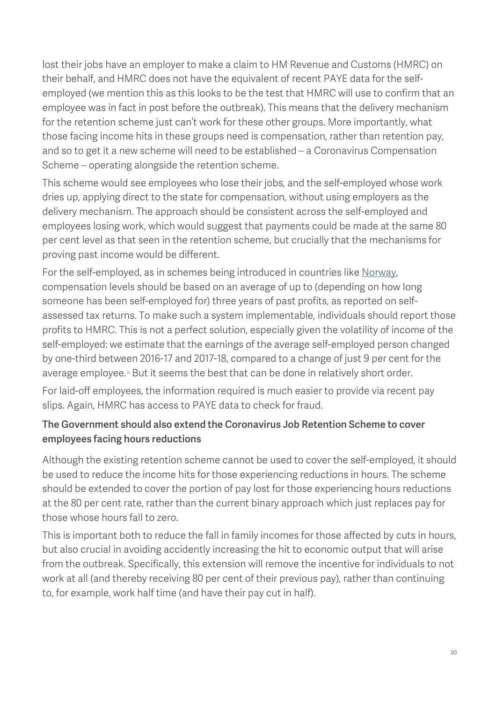lost their jobs have an employer to make a claim to HM Revenue and Customs (HMRC) on their behalf, and HMRC does not have the equivalent of recent PAYE data for the selfemployed (we mention this as this looks to be the test that HMRC will use to confirm that an employee was in fact in post before the outbreak). This means that the delivery mechanism for the retention scheme just can't work for these other groups. More importantly, what those facing income hits in these groups need is compensation, rather than retention pay, and so to get it a new scheme will need to be established – a Coronavirus Compensation Scheme – operating alongside the retention scheme.

This scheme would see employees who lose their jobs, and the self-employed whose work dries up, applying direct to the state for compensation, without using employers as the delivery mechanism. The approach should be consistent across the self-employed and employees losing work, which would suggest that payments could be made at the same 80 per cent level as that seen in the retention scheme, but crucially that the mechanisms for proving past income would be different.

For the self-employed, as in schemes being introduced in countries like [Norway,](https://www.telegraph.co.uk/money/consumer-affairs/self-employed-people-want-government-help-us-survive-coronavirus/) compensation levels should be based on an average of up to (depending on how long someone has been self-employed for) three years of past profits, as reported on selfassessed tax returns. To make such a system implementable, individuals should report those profits to HMRC. This is not a perfect solution, especially given the volatility of income of the self-employed: we estimate that the earnings of the average self-employed person changed by one-third between 2016-17 and 2017-18, compared to a change of just 9 per cent for the average employee.<sup>ii</sup> But it seems the best that can be done in relatively short order.

For laid-off employees, the information required is much easier to provide via recent pay slips. Again, HMRC has access to PAYE data to check for fraud.

# The Government should also extend the Coronavirus Job Retention Scheme to cover employees facing hours reductions

Although the existing retention scheme cannot be used to cover the self-employed, it should be used to reduce the income hits for those experiencing reductions in hours. The scheme should be extended to cover the portion of pay lost for those experiencing hours reductions at the 80 per cent rate, rather than the current binary approach which just replaces pay for those whose hours fall to zero.

This is important both to reduce the fall in family incomes for those affected by cuts in hours, but also crucial in avoiding accidently increasing the hit to economic output that will arise from the outbreak. Specifically, this extension will remove the incentive for individuals to not work at all (and thereby receiving 80 per cent of their previous pay), rather than continuing to, for example, work half time (and have their pay cut in half).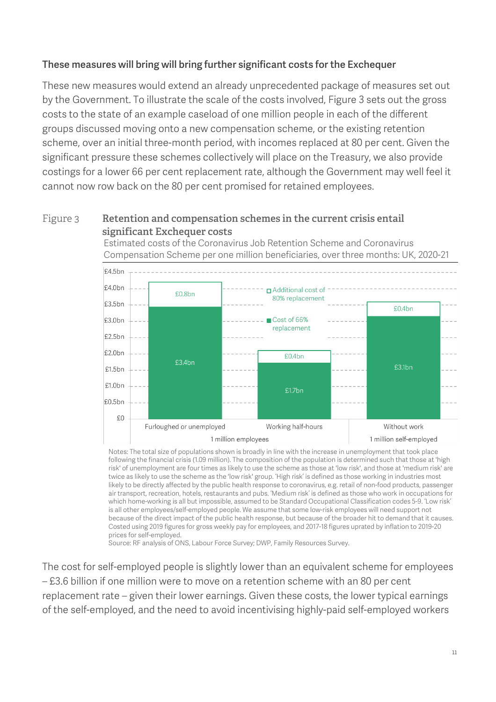## These measures will bring will bring further significant costs for the Exchequer

These new measures would extend an already unprecedented package of measures set out by the Government. To illustrate the scale of the costs involved, [Figure 3](#page-10-0) sets out the gross costs to the state of an example caseload of one million people in each of the different groups discussed moving onto a new compensation scheme, or the existing retention scheme, over an initial three-month period, with incomes replaced at 80 per cent. Given the significant pressure these schemes collectively will place on the Treasury, we also provide costings for a lower 66 per cent replacement rate, although the Government may well feel it cannot now row back on the 80 per cent promised for retained employees.

### <span id="page-10-0"></span>Figure 3 **Retention and compensation schemes in the current crisis entail significant Exchequer costs**

Estimated costs of the Coronavirus Job Retention Scheme and Coronavirus Compensation Scheme per one million beneficiaries, over three months: UK, 2020-21



Notes: The total size of populations shown is broadly in line with the increase in unemployment that took place following the financial crisis (1.09 million). The composition of the population is determined such that those at 'high risk' of unemployment are four times as likely to use the scheme as those at 'low risk', and those at 'medium risk' are twice as likely to use the scheme as the 'low risk' group. 'High risk' is defined as those working in industries most likely to be directly affected by the public health response to coronavirus, e.g. retail of non-food products, passenger air transport, recreation, hotels, restaurants and pubs. 'Medium risk' is defined as those who work in occupations for which home-working is all but impossible, assumed to be Standard Occupational Classification codes 5-9. 'Low risk' is all other employees/self-employed people. We assume that some low-risk employees will need support not because of the direct impact of the public health response, but because of the broader hit to demand that it causes. Costed using 2019 figures for gross weekly pay for employees, and 2017-18 figures uprated by inflation to 2019-20 prices for self-employed.

Source: RF analysis of ONS, Labour Force Survey; DWP, Family Resources Survey.

The cost for self-employed people is slightly lower than an equivalent scheme for employees – £3.6 billion if one million were to move on a retention scheme with an 80 per cent replacement rate – given their lower earnings. Given these costs, the lower typical earnings of the self-employed, and the need to avoid incentivising highly-paid self-employed workers